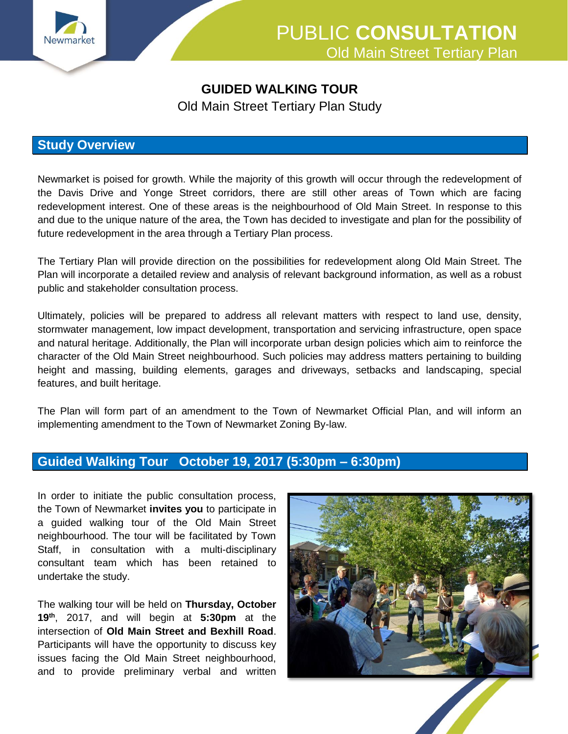

# PUBLIC **CONSULTATION** Old Main Street Tertiary Plan

### **GUIDED WALKING TOUR**

Old Main Street Tertiary Plan Study

#### **Study Overview**

Newmarket is poised for growth. While the majority of this growth will occur through the redevelopment of the Davis Drive and Yonge Street corridors, there are still other areas of Town which are facing redevelopment interest. One of these areas is the neighbourhood of Old Main Street. In response to this and due to the unique nature of the area, the Town has decided to investigate and plan for the possibility of future redevelopment in the area through a Tertiary Plan process.

The Tertiary Plan will provide direction on the possibilities for redevelopment along Old Main Street. The Plan will incorporate a detailed review and analysis of relevant background information, as well as a robust public and stakeholder consultation process.

Ultimately, policies will be prepared to address all relevant matters with respect to land use, density, stormwater management, low impact development, transportation and servicing infrastructure, open space and natural heritage. Additionally, the Plan will incorporate urban design policies which aim to reinforce the character of the Old Main Street neighbourhood. Such policies may address matters pertaining to building height and massing, building elements, garages and driveways, setbacks and landscaping, special features, and built heritage.

The Plan will form part of an amendment to the Town of Newmarket Official Plan, and will inform an implementing amendment to the Town of Newmarket Zoning By-law.

## **Guided Walking Tour October 19, 2017 (5:30pm – 6:30pm)**

In order to initiate the public consultation process, the Town of Newmarket **invites you** to participate in a guided walking tour of the Old Main Street neighbourhood. The tour will be facilitated by Town Staff, in consultation with a multi-disciplinary consultant team which has been retained to undertake the study.

The walking tour will be held on **Thursday, October 19th**, 2017, and will begin at **5:30pm** at the intersection of **Old Main Street and Bexhill Road**. Participants will have the opportunity to discuss key issues facing the Old Main Street neighbourhood, and to provide preliminary verbal and written